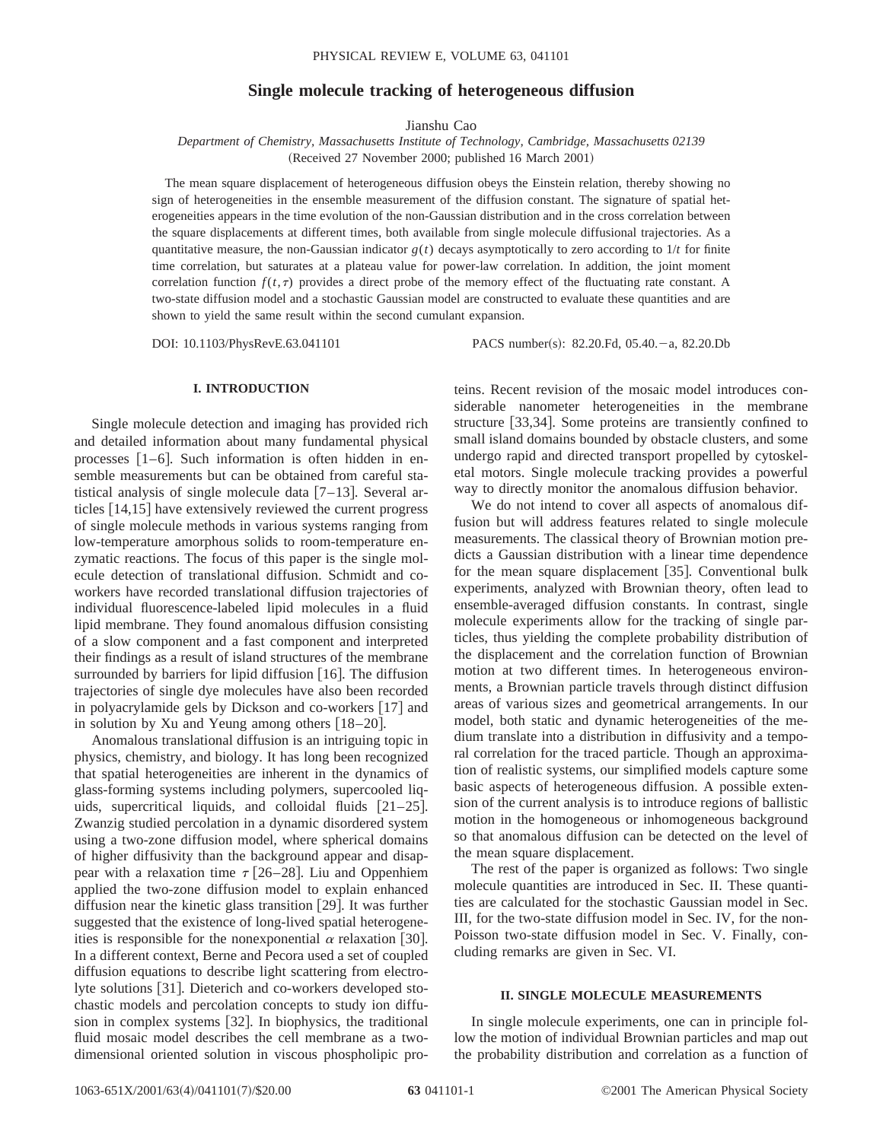# **Single molecule tracking of heterogeneous diffusion**

Jianshu Cao

*Department of Chemistry, Massachusetts Institute of Technology, Cambridge, Massachusetts 02139* (Received 27 November 2000; published 16 March 2001)

The mean square displacement of heterogeneous diffusion obeys the Einstein relation, thereby showing no sign of heterogeneities in the ensemble measurement of the diffusion constant. The signature of spatial heterogeneities appears in the time evolution of the non-Gaussian distribution and in the cross correlation between the square displacements at different times, both available from single molecule diffusional trajectories. As a quantitative measure, the non-Gaussian indicator  $g(t)$  decays asymptotically to zero according to  $1/t$  for finite time correlation, but saturates at a plateau value for power-law correlation. In addition, the joint moment correlation function  $f(t, \tau)$  provides a direct probe of the memory effect of the fluctuating rate constant. A two-state diffusion model and a stochastic Gaussian model are constructed to evaluate these quantities and are shown to yield the same result within the second cumulant expansion.

DOI: 10.1103/PhysRevE.63.041101 PACS number(s): 82.20.Fd, 05.40. - a, 82.20.Db

## **I. INTRODUCTION**

Single molecule detection and imaging has provided rich and detailed information about many fundamental physical processes  $[1-6]$ . Such information is often hidden in ensemble measurements but can be obtained from careful statistical analysis of single molecule data  $[7-13]$ . Several articles  $[14,15]$  have extensively reviewed the current progress of single molecule methods in various systems ranging from low-temperature amorphous solids to room-temperature enzymatic reactions. The focus of this paper is the single molecule detection of translational diffusion. Schmidt and coworkers have recorded translational diffusion trajectories of individual fluorescence-labeled lipid molecules in a fluid lipid membrane. They found anomalous diffusion consisting of a slow component and a fast component and interpreted their findings as a result of island structures of the membrane surrounded by barriers for lipid diffusion  $[16]$ . The diffusion trajectories of single dye molecules have also been recorded in polyacrylamide gels by Dickson and co-workers  $[17]$  and in solution by Xu and Yeung among others  $[18–20]$ .

Anomalous translational diffusion is an intriguing topic in physics, chemistry, and biology. It has long been recognized that spatial heterogeneities are inherent in the dynamics of glass-forming systems including polymers, supercooled liquids, supercritical liquids, and colloidal fluids  $[21-25]$ . Zwanzig studied percolation in a dynamic disordered system using a two-zone diffusion model, where spherical domains of higher diffusivity than the background appear and disappear with a relaxation time  $\tau$  [26–28]. Liu and Oppenhiem applied the two-zone diffusion model to explain enhanced diffusion near the kinetic glass transition  $[29]$ . It was further suggested that the existence of long-lived spatial heterogeneities is responsible for the nonexponential  $\alpha$  relaxation [30]. In a different context, Berne and Pecora used a set of coupled diffusion equations to describe light scattering from electrolyte solutions [31]. Dieterich and co-workers developed stochastic models and percolation concepts to study ion diffusion in complex systems [32]. In biophysics, the traditional fluid mosaic model describes the cell membrane as a twodimensional oriented solution in viscous phospholipic proteins. Recent revision of the mosaic model introduces considerable nanometer heterogeneities in the membrane structure [33,34]. Some proteins are transiently confined to small island domains bounded by obstacle clusters, and some undergo rapid and directed transport propelled by cytoskeletal motors. Single molecule tracking provides a powerful way to directly monitor the anomalous diffusion behavior.

We do not intend to cover all aspects of anomalous diffusion but will address features related to single molecule measurements. The classical theory of Brownian motion predicts a Gaussian distribution with a linear time dependence for the mean square displacement  $[35]$ . Conventional bulk experiments, analyzed with Brownian theory, often lead to ensemble-averaged diffusion constants. In contrast, single molecule experiments allow for the tracking of single particles, thus yielding the complete probability distribution of the displacement and the correlation function of Brownian motion at two different times. In heterogeneous environments, a Brownian particle travels through distinct diffusion areas of various sizes and geometrical arrangements. In our model, both static and dynamic heterogeneities of the medium translate into a distribution in diffusivity and a temporal correlation for the traced particle. Though an approximation of realistic systems, our simplified models capture some basic aspects of heterogeneous diffusion. A possible extension of the current analysis is to introduce regions of ballistic motion in the homogeneous or inhomogeneous background so that anomalous diffusion can be detected on the level of the mean square displacement.

The rest of the paper is organized as follows: Two single molecule quantities are introduced in Sec. II. These quantities are calculated for the stochastic Gaussian model in Sec. III, for the two-state diffusion model in Sec. IV, for the non-Poisson two-state diffusion model in Sec. V. Finally, concluding remarks are given in Sec. VI.

### **II. SINGLE MOLECULE MEASUREMENTS**

In single molecule experiments, one can in principle follow the motion of individual Brownian particles and map out the probability distribution and correlation as a function of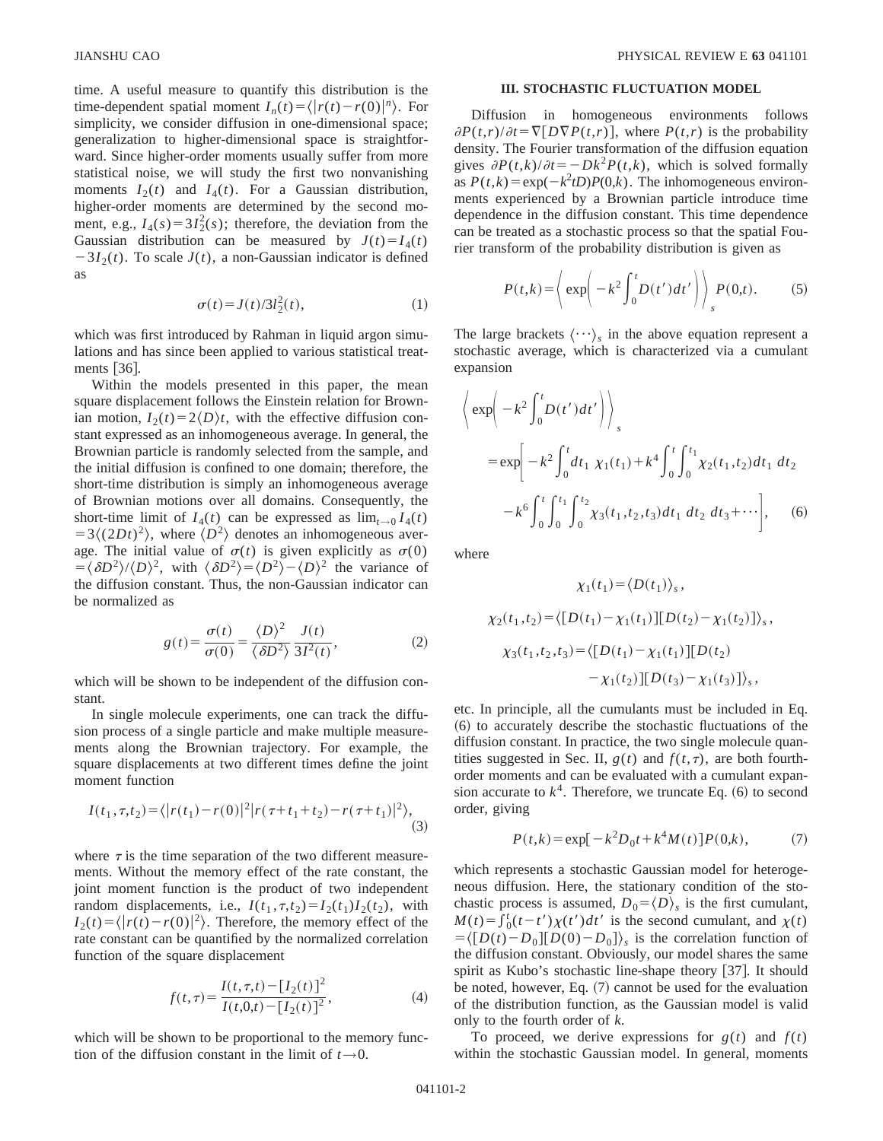time. A useful measure to quantify this distribution is the time-dependent spatial moment  $I_n(t) = \langle |r(t) - r(0)|^n \rangle$ . For simplicity, we consider diffusion in one-dimensional space; generalization to higher-dimensional space is straightforward. Since higher-order moments usually suffer from more statistical noise, we will study the first two nonvanishing moments  $I_2(t)$  and  $I_4(t)$ . For a Gaussian distribution, higher-order moments are determined by the second moment, e.g.,  $I_4(s) = 3I_2^2(s)$ ; therefore, the deviation from the Gaussian distribution can be measured by  $J(t) = I_4(t)$  $-3I_2(t)$ . To scale  $J(t)$ , a non-Gaussian indicator is defined as

$$
\sigma(t) = J(t)/3l_2^2(t),\tag{1}
$$

which was first introduced by Rahman in liquid argon simulations and has since been applied to various statistical treatments  $|36|$ .

Within the models presented in this paper, the mean square displacement follows the Einstein relation for Brownian motion,  $I_2(t)=2\langle D \rangle t$ , with the effective diffusion constant expressed as an inhomogeneous average. In general, the Brownian particle is randomly selected from the sample, and the initial diffusion is confined to one domain; therefore, the short-time distribution is simply an inhomogeneous average of Brownian motions over all domains. Consequently, the short-time limit of  $I_4(t)$  can be expressed as  $\lim_{t\to 0} I_4(t)$  $=3\langle (2Dt)^2 \rangle$ , where  $\langle D^2 \rangle$  denotes an inhomogeneous average. The initial value of  $\sigma(t)$  is given explicitly as  $\sigma(0)$  $=$  $\langle \delta D^2 \rangle / \langle D \rangle^2$ , with  $\langle \delta D^2 \rangle = \langle D^2 \rangle - \langle D \rangle^2$  the variance of the diffusion constant. Thus, the non-Gaussian indicator can be normalized as

$$
g(t) = \frac{\sigma(t)}{\sigma(0)} = \frac{\langle D \rangle^2}{\langle \delta D^2 \rangle} \frac{J(t)}{3I^2(t)},
$$
 (2)

which will be shown to be independent of the diffusion constant.

In single molecule experiments, one can track the diffusion process of a single particle and make multiple measurements along the Brownian trajectory. For example, the square displacements at two different times define the joint moment function

$$
I(t_1, \tau, t_2) = \langle |r(t_1) - r(0)|^2 |r(\tau + t_1 + t_2) - r(\tau + t_1)|^2 \rangle, \tag{3}
$$

where  $\tau$  is the time separation of the two different measurements. Without the memory effect of the rate constant, the joint moment function is the product of two independent random displacements, i.e.,  $I(t_1, \tau, t_2) = I_2(t_1)I_2(t_2)$ , with  $I_2(t) = \langle |r(t) - r(0)|^2 \rangle$ . Therefore, the memory effect of the rate constant can be quantified by the normalized correlation function of the square displacement

$$
f(t,\tau) = \frac{I(t,\tau,t) - [I_2(t)]^2}{I(t,0,t) - [I_2(t)]^2},
$$
\n(4)

which will be shown to be proportional to the memory function of the diffusion constant in the limit of  $t \rightarrow 0$ .

## **III. STOCHASTIC FLUCTUATION MODEL**

Diffusion in homogeneous environments follows  $\partial P(t,r)/\partial t = \nabla[D\nabla P(t,r)]$ , where  $P(t,r)$  is the probability density. The Fourier transformation of the diffusion equation gives  $\partial P(t,k)/\partial t = -Dk^2 P(t,k)$ , which is solved formally as  $P(t, k) = \exp(-k^2tD)P(0, k)$ . The inhomogeneous environments experienced by a Brownian particle introduce time dependence in the diffusion constant. This time dependence can be treated as a stochastic process so that the spatial Fourier transform of the probability distribution is given as

$$
P(t,k) = \left\langle \exp\left(-k^2 \int_0^t D(t')dt'\right) \right\rangle_s P(0,t).
$$
 (5)

The large brackets  $\langle \cdots \rangle_s$  in the above equation represent a stochastic average, which is characterized via a cumulant expansion

$$
\left\langle \exp\left(-k^{2}\int_{0}^{t} D(t')dt'\right) \right\rangle_{s}
$$
\n
$$
= \exp\left[-k^{2}\int_{0}^{t} dt_{1} \chi_{1}(t_{1}) + k^{4}\int_{0}^{t} \int_{0}^{t_{1}} \chi_{2}(t_{1}, t_{2})dt_{1} dt_{2}\right.
$$
\n
$$
-k^{6}\int_{0}^{t} \int_{0}^{t_{1}} \int_{0}^{t_{2}} \chi_{3}(t_{1}, t_{2}, t_{3})dt_{1} dt_{2} dt_{3} + \cdots \right], \quad (6)
$$

where

$$
\chi_1(t_1) = \langle D(t_1) \rangle_s,
$$
  
\n
$$
\chi_2(t_1, t_2) = \langle [D(t_1) - \chi_1(t_1)][D(t_2) - \chi_1(t_2)] \rangle_s,
$$
  
\n
$$
\chi_3(t_1, t_2, t_3) = \langle [D(t_1) - \chi_1(t_1)][D(t_2) - \chi_1(t_2)][D(t_3) - \chi_1(t_3)] \rangle_s,
$$

etc. In principle, all the cumulants must be included in Eq.  $(6)$  to accurately describe the stochastic fluctuations of the diffusion constant. In practice, the two single molecule quantities suggested in Sec. II,  $g(t)$  and  $f(t, \tau)$ , are both fourthorder moments and can be evaluated with a cumulant expansion accurate to  $k^4$ . Therefore, we truncate Eq.  $(6)$  to second order, giving

$$
P(t,k) = \exp[-k^2 D_0 t + k^4 M(t)] P(0,k), \tag{7}
$$

which represents a stochastic Gaussian model for heterogeneous diffusion. Here, the stationary condition of the stochastic process is assumed,  $D_0 = \langle D \rangle$ <sub>s</sub> is the first cumulant,  $M(t) = \int_0^t (t-t') \chi(t') dt'$  is the second cumulant, and  $\chi(t)$  $=\langle [D(t)-D_0][D(0)-D_0] \rangle_s$  is the correlation function of the diffusion constant. Obviously, our model shares the same spirit as Kubo's stochastic line-shape theory  $[37]$ . It should be noted, however, Eq.  $(7)$  cannot be used for the evaluation of the distribution function, as the Gaussian model is valid only to the fourth order of *k*.

To proceed, we derive expressions for  $g(t)$  and  $f(t)$ within the stochastic Gaussian model. In general, moments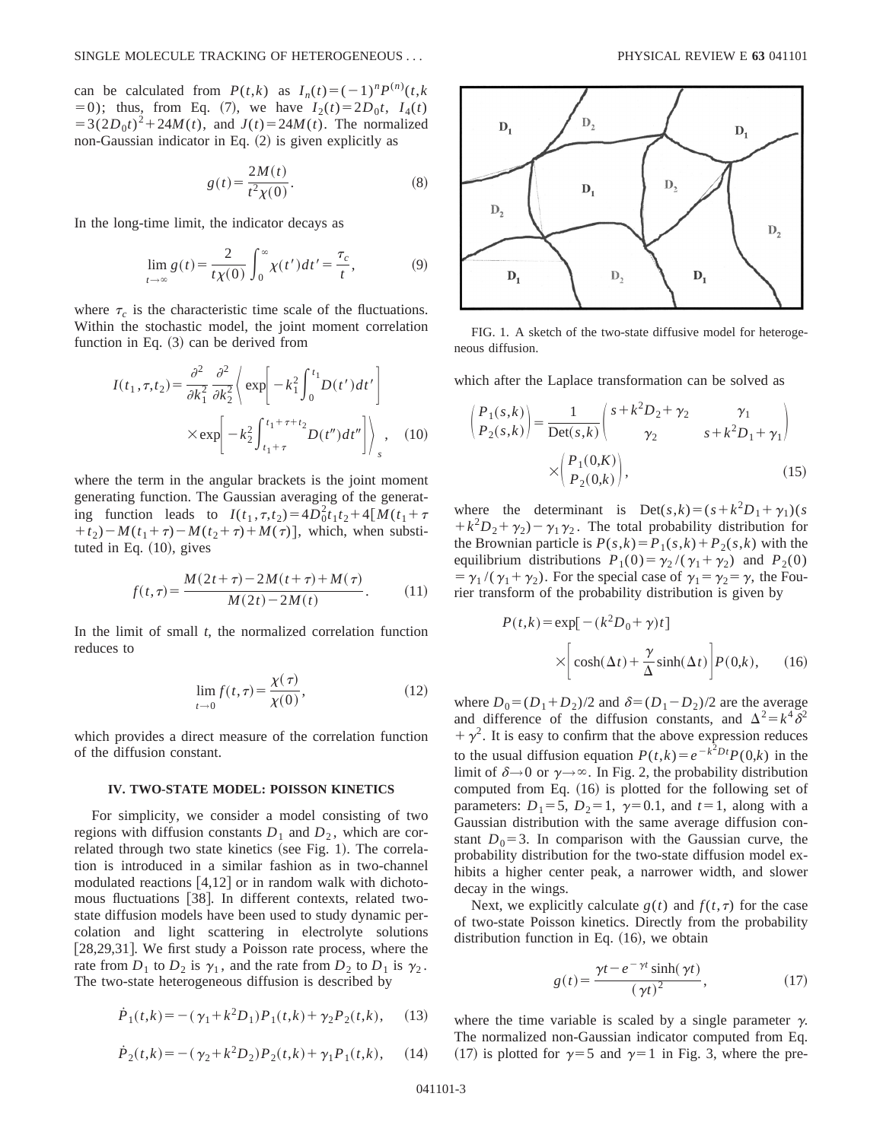can be calculated from  $P(t,k)$  as  $I_n(t) = (-1)^n P^{(n)}(t,k)$  $(50)$ ; thus, from Eq. (7), we have  $I_2(t) = 2D_0t$ ,  $I_4(t)$  $=3(2D_0t)^2+24M(t)$ , and  $J(t)=24M(t)$ . The normalized non-Gaussian indicator in Eq.  $(2)$  is given explicitly as

$$
g(t) = \frac{2M(t)}{t^2 \chi(0)}.
$$
 (8)

In the long-time limit, the indicator decays as

$$
\lim_{t \to \infty} g(t) = \frac{2}{t\chi(0)} \int_0^\infty \chi(t')dt' = \frac{\tau_c}{t},\tag{9}
$$

where  $\tau_c$  is the characteristic time scale of the fluctuations. Within the stochastic model, the joint moment correlation function in Eq.  $(3)$  can be derived from

$$
I(t_1, \tau, t_2) = \frac{\partial^2}{\partial k_1^2} \frac{\partial^2}{\partial k_2^2} \left\langle \exp\left[-k_1^2 \int_0^{t_1} D(t')dt'\right] \right\rangle
$$
  
 
$$
\times \exp\left[-k_2^2 \int_{t_1 + \tau}^{t_1 + \tau + t_2} D(t'')dt''\right] \right\rangle_s, \quad (10)
$$

where the term in the angular brackets is the joint moment generating function. The Gaussian averaging of the generating function leads to  $I(t_1, \tau, t_2) = 4D_0^2 t_1 t_2 + 4[M(t_1 + \tau)]$  $(t_1 + t_2) - M(t_1 + \tau) - M(t_2 + \tau) + M(\tau)$ , which, when substituted in Eq.  $(10)$ , gives

$$
f(t,\tau) = \frac{M(2t+\tau) - 2M(t+\tau) + M(\tau)}{M(2t) - 2M(t)}.
$$
 (11)

In the limit of small  $t$ , the normalized correlation function reduces to

$$
\lim_{t \to 0} f(t, \tau) = \frac{\chi(\tau)}{\chi(0)},
$$
\n(12)

which provides a direct measure of the correlation function of the diffusion constant.

#### **IV. TWO-STATE MODEL: POISSON KINETICS**

For simplicity, we consider a model consisting of two regions with diffusion constants  $D_1$  and  $D_2$ , which are correlated through two state kinetics (see Fig. 1). The correlation is introduced in a similar fashion as in two-channel modulated reactions  $[4,12]$  or in random walk with dichotomous fluctuations [38]. In different contexts, related twostate diffusion models have been used to study dynamic percolation and light scattering in electrolyte solutions [28,29,31]. We first study a Poisson rate process, where the rate from  $D_1$  to  $D_2$  is  $\gamma_1$ , and the rate from  $D_2$  to  $D_1$  is  $\gamma_2$ . The two-state heterogeneous diffusion is described by

$$
\dot{P}_1(t,k) = -(\gamma_1 + k^2 D_1) P_1(t,k) + \gamma_2 P_2(t,k), \quad (13)
$$

$$
\dot{P}_2(t,k) = -(\gamma_2 + k^2 D_2) P_2(t,k) + \gamma_1 P_1(t,k), \quad (14)
$$



FIG. 1. A sketch of the two-state diffusive model for heterogeneous diffusion.

which after the Laplace transformation can be solved as

$$
\begin{pmatrix} P_1(s,k) \\ P_2(s,k) \end{pmatrix} = \frac{1}{\text{Det}(s,k)} \begin{pmatrix} s + k^2 D_2 + \gamma_2 & \gamma_1 \\ \gamma_2 & s + k^2 D_1 + \gamma_1 \end{pmatrix}
$$

$$
\times \begin{pmatrix} P_1(0,K) \\ P_2(0,k) \end{pmatrix}, \tag{15}
$$

where the determinant is  $Det(s,k)=(s+k^2D_1+\gamma_1)(s)$  $+k^{2}D_{2}+\gamma_{2}-\gamma_{1}\gamma_{2}$ . The total probability distribution for the Brownian particle is  $P(s,k)=P_1(s,k)+P_2(s,k)$  with the equilibrium distributions  $P_1(0) = \gamma_2 / (\gamma_1 + \gamma_2)$  and  $P_2(0)$  $= \gamma_1/(\gamma_1 + \gamma_2)$ . For the special case of  $\gamma_1 = \gamma_2 = \gamma$ , the Fourier transform of the probability distribution is given by

$$
P(t,k) = \exp[-(k^2 D_0 + \gamma)t]
$$
  
 
$$
\times \left[ \cosh(\Delta t) + \frac{\gamma}{\Delta} \sinh(\Delta t) \right] P(0,k), \quad (16)
$$

where  $D_0 = (D_1 + D_2)/2$  and  $\delta = (D_1 - D_2)/2$  are the average and difference of the diffusion constants, and  $\Delta^2 = k^4 \delta^2$  $+\gamma^2$ . It is easy to confirm that the above expression reduces to the usual diffusion equation  $P(t,k) = e^{-k^2Dt}P(0,k)$  in the limit of  $\delta \rightarrow 0$  or  $\gamma \rightarrow \infty$ . In Fig. 2, the probability distribution computed from Eq.  $(16)$  is plotted for the following set of parameters:  $D_1=5$ ,  $D_2=1$ ,  $\gamma=0.1$ , and  $t=1$ , along with a Gaussian distribution with the same average diffusion constant  $D_0=3$ . In comparison with the Gaussian curve, the probability distribution for the two-state diffusion model exhibits a higher center peak, a narrower width, and slower decay in the wings.

Next, we explicitly calculate  $g(t)$  and  $f(t, \tau)$  for the case of two-state Poisson kinetics. Directly from the probability distribution function in Eq.  $(16)$ , we obtain

$$
g(t) = \frac{\gamma t - e^{-\gamma t} \sinh(\gamma t)}{(\gamma t)^2},
$$
\n(17)

where the time variable is scaled by a single parameter  $\gamma$ . The normalized non-Gaussian indicator computed from Eq. (17) is plotted for  $\gamma = 5$  and  $\gamma = 1$  in Fig. 3, where the pre-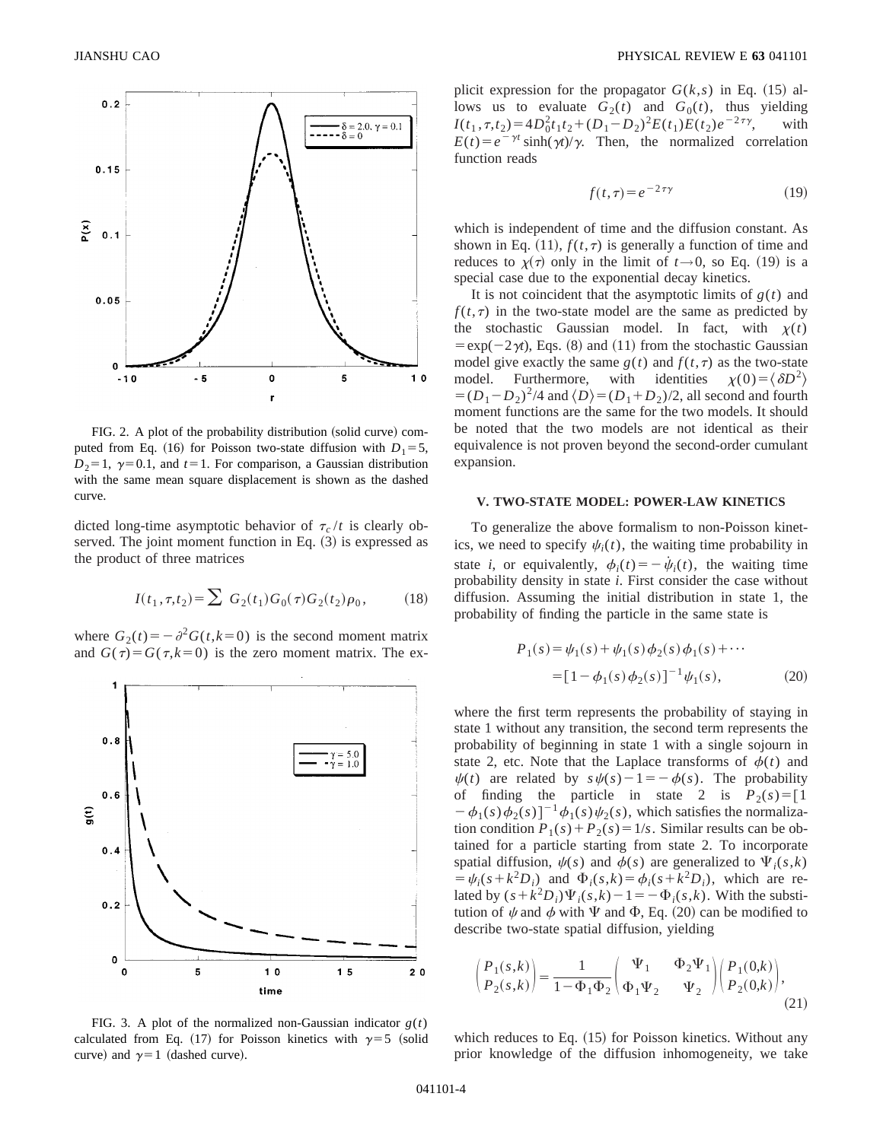

FIG. 2. A plot of the probability distribution (solid curve) computed from Eq. (16) for Poisson two-state diffusion with  $D_1=5$ ,  $D_2=1$ ,  $\gamma=0.1$ , and  $t=1$ . For comparison, a Gaussian distribution with the same mean square displacement is shown as the dashed curve.

dicted long-time asymptotic behavior of  $\tau_c / t$  is clearly observed. The joint moment function in Eq.  $(3)$  is expressed as the product of three matrices

$$
I(t_1, \tau, t_2) = \sum G_2(t_1) G_0(\tau) G_2(t_2) \rho_0, \qquad (18)
$$

where  $G_2(t) = -\partial^2 G(t, k=0)$  is the second moment matrix and  $G(\tau) = G(\tau, k=0)$  is the zero moment matrix. The ex-



plicit expression for the propagator  $G(k, s)$  in Eq. (15) allows us to evaluate  $G_2(t)$  and  $G_0(t)$ , thus yielding  $I(t_1, \tau, t_2) = 4D_0^2 t_1 t_2 + (D_1 - D_2)^2 E(t_1) E(t_2) e^{-2\tau \gamma}$ , with  $E(t) = e^{-\gamma t} \sinh(\gamma t)/\gamma$ . Then, the normalized correlation function reads

$$
f(t,\tau) = e^{-2\tau\gamma} \tag{19}
$$

which is independent of time and the diffusion constant. As shown in Eq. (11),  $f(t, \tau)$  is generally a function of time and reduces to  $\chi(\tau)$  only in the limit of  $t \rightarrow 0$ , so Eq. (19) is a special case due to the exponential decay kinetics.

It is not coincident that the asymptotic limits of  $g(t)$  and  $f(t, \tau)$  in the two-state model are the same as predicted by the stochastic Gaussian model. In fact, with  $\chi(t)$  $= \exp(-2\gamma t)$ , Eqs. (8) and (11) from the stochastic Gaussian model give exactly the same  $g(t)$  and  $f(t, \tau)$  as the two-state model. Furthermore, with identities  $\chi(0) = \langle \delta D^2 \rangle$  $=(D_1-D_2)^2/4$  and  $\langle D \rangle = (D_1+D_2)/2$ , all second and fourth moment functions are the same for the two models. It should be noted that the two models are not identical as their equivalence is not proven beyond the second-order cumulant expansion.

#### **V. TWO-STATE MODEL: POWER-LAW KINETICS**

To generalize the above formalism to non-Poisson kinetics, we need to specify  $\psi_i(t)$ , the waiting time probability in state *i*, or equivalently,  $\phi_i(t) = -\dot{\psi}_i(t)$ , the waiting time probability density in state *i*. First consider the case without diffusion. Assuming the initial distribution in state 1, the probability of finding the particle in the same state is

$$
P_1(s) = \psi_1(s) + \psi_1(s)\phi_2(s)\phi_1(s) + \cdots
$$
  
=  $[1 - \phi_1(s)\phi_2(s)]^{-1}\psi_1(s)$ , (20)

where the first term represents the probability of staying in state 1 without any transition, the second term represents the probability of beginning in state 1 with a single sojourn in state 2, etc. Note that the Laplace transforms of  $\phi(t)$  and  $\psi(t)$  are related by  $s\psi(s)-1=-\phi(s)$ . The probability of finding the particle in state 2 is  $P_2(s) = [1]$  $-\phi_1(s)\phi_2(s)]^{-1}\phi_1(s)\psi_2(s)$ , which satisfies the normalization condition  $P_1(s) + P_2(s) = 1/s$ . Similar results can be obtained for a particle starting from state 2. To incorporate spatial diffusion,  $\psi(s)$  and  $\phi(s)$  are generalized to  $\Psi_i(s,k)$  $= \psi_i(s + k^2 D_i)$  and  $\Phi_i(s, k) = \phi_i(s + k^2 D_i)$ , which are related by  $(s + k^2 D_i)\Psi_i(s, k) - 1 = -\Phi_i(s, k)$ . With the substitution of  $\psi$  and  $\phi$  with  $\Psi$  and  $\Phi$ , Eq. (20) can be modified to describe two-state spatial diffusion, yielding

$$
\begin{pmatrix} P_1(s,k) \\ P_2(s,k) \end{pmatrix} = \frac{1}{1 - \Phi_1 \Phi_2} \begin{pmatrix} \Psi_1 & \Phi_2 \Psi_1 \\ \Phi_1 \Psi_2 & \Psi_2 \end{pmatrix} \begin{pmatrix} P_1(0,k) \\ P_2(0,k) \end{pmatrix},
$$
\n(21)

FIG. 3. A plot of the normalized non-Gaussian indicator  $g(t)$ calculated from Eq. (17) for Poisson kinetics with  $\gamma=5$  (solid curve) and  $\gamma=1$  (dashed curve).

which reduces to Eq.  $(15)$  for Poisson kinetics. Without any prior knowledge of the diffusion inhomogeneity, we take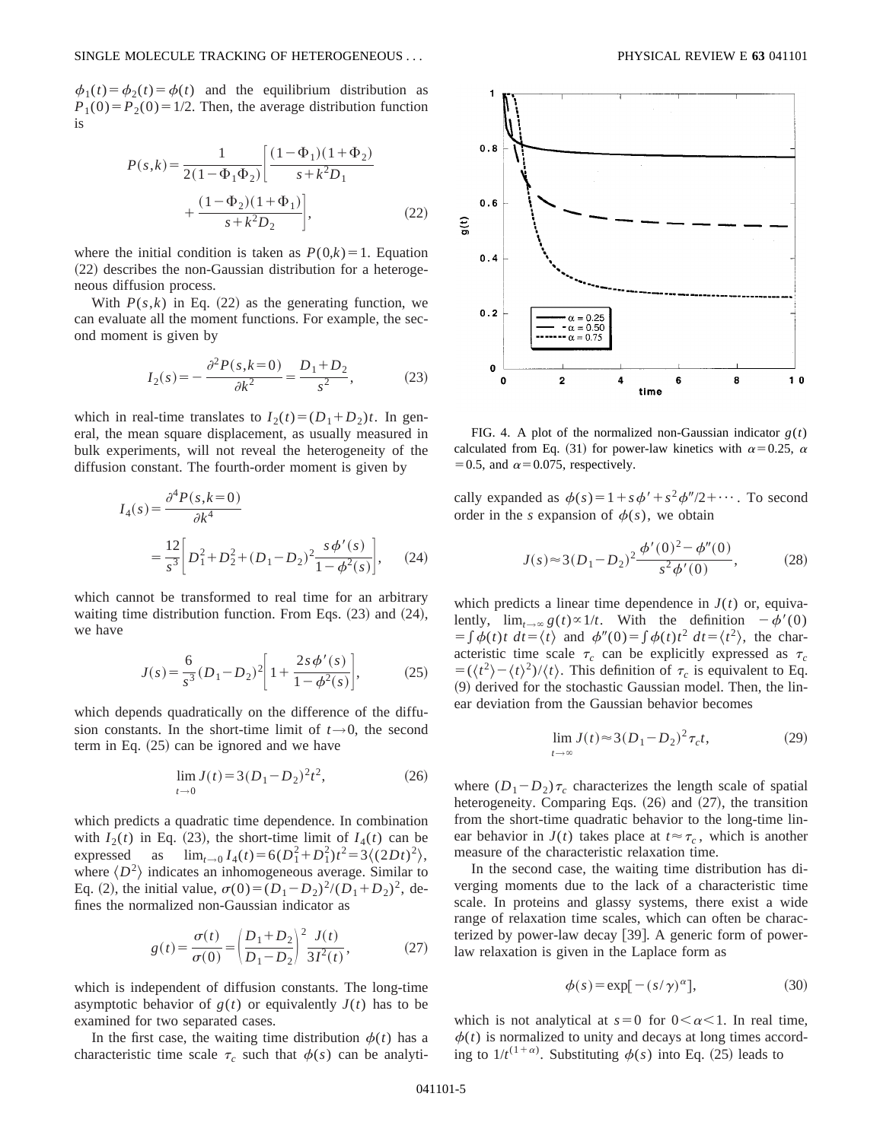$\phi_1(t) = \phi_2(t) = \phi(t)$  and the equilibrium distribution as  $P_1(0) = P_2(0) = 1/2$ . Then, the average distribution function is

$$
P(s,k) = \frac{1}{2(1 - \Phi_1 \Phi_2)} \left[ \frac{(1 - \Phi_1)(1 + \Phi_2)}{s + k^2 D_1} + \frac{(1 - \Phi_2)(1 + \Phi_1)}{s + k^2 D_2} \right],
$$
 (22)

where the initial condition is taken as  $P(0,k)=1$ . Equation  $(22)$  describes the non-Gaussian distribution for a heterogeneous diffusion process.

With  $P(s,k)$  in Eq. (22) as the generating function, we can evaluate all the moment functions. For example, the second moment is given by

$$
I_2(s) = -\frac{\partial^2 P(s, k=0)}{\partial k^2} = \frac{D_1 + D_2}{s^2},\tag{23}
$$

which in real-time translates to  $I_2(t) = (D_1 + D_2)t$ . In general, the mean square displacement, as usually measured in bulk experiments, will not reveal the heterogeneity of the diffusion constant. The fourth-order moment is given by

$$
I_4(s) = \frac{\partial^4 P(s, k=0)}{\partial k^4}
$$
  
=  $\frac{12}{s^3} \bigg[ D_1^2 + D_2^2 + (D_1 - D_2)^2 \frac{s \phi'(s)}{1 - \phi^2(s)} \bigg],$  (24)

which cannot be transformed to real time for an arbitrary waiting time distribution function. From Eqs.  $(23)$  and  $(24)$ , we have

$$
J(s) = \frac{6}{s^3} (D_1 - D_2)^2 \left[ 1 + \frac{2s \phi'(s)}{1 - \phi^2(s)} \right],
$$
 (25)

which depends quadratically on the difference of the diffusion constants. In the short-time limit of  $t \rightarrow 0$ , the second term in Eq.  $(25)$  can be ignored and we have

$$
\lim_{t \to 0} J(t) = 3(D_1 - D_2)^2 t^2, \tag{26}
$$

which predicts a quadratic time dependence. In combination with  $I_2(t)$  in Eq. (23), the short-time limit of  $I_4(t)$  can be expressed as  $\lim_{t\to 0} I_4(t) = 6(D_1^2 + D_1^2)t^2 = 3\langle (2Dt)^2 \rangle$ , where  $\langle D^2 \rangle$  indicates an inhomogeneous average. Similar to Eq. (2), the initial value,  $\sigma(0)=(D_1-D_2)^2/(D_1+D_2)^2$ , defines the normalized non-Gaussian indicator as

$$
g(t) = \frac{\sigma(t)}{\sigma(0)} = \left(\frac{D_1 + D_2}{D_1 - D_2}\right)^2 \frac{J(t)}{3I^2(t)},
$$
 (27)

which is independent of diffusion constants. The long-time asymptotic behavior of  $g(t)$  or equivalently  $J(t)$  has to be examined for two separated cases.

In the first case, the waiting time distribution  $\phi(t)$  has a characteristic time scale  $\tau_c$  such that  $\phi(s)$  can be analyti-



FIG. 4. A plot of the normalized non-Gaussian indicator  $g(t)$ calculated from Eq. (31) for power-law kinetics with  $\alpha$ =0.25,  $\alpha$  $=0.5$ , and  $\alpha=0.075$ , respectively.

cally expanded as  $\phi(s) = 1 + s\phi' + s^2\phi''/2 + \cdots$ . To second order in the *s* expansion of  $\phi(s)$ , we obtain

$$
J(s) \approx 3(D_1 - D_2)^2 \frac{\phi'(0)^2 - \phi''(0)}{s^2 \phi'(0)},
$$
 (28)

which predicts a linear time dependence in  $J(t)$  or, equivalently,  $\lim_{t\to\infty} g(t) \propto 1/t$ . With the definition  $-\phi'(0)$  $= \int \phi(t)t \, dt = \langle t \rangle$  and  $\phi''(0) = \int \phi(t)t^2 \, dt = \langle t^2 \rangle$ , the characteristic time scale  $\tau_c$  can be explicitly expressed as  $\tau_c$  $= (\langle t^2 \rangle - \langle t \rangle^2)/\langle t \rangle$ . This definition of  $\tau_c$  is equivalent to Eq.  $(9)$  derived for the stochastic Gaussian model. Then, the linear deviation from the Gaussian behavior becomes

$$
\lim_{t \to \infty} J(t) \approx 3(D_1 - D_2)^2 \tau_c t,\tag{29}
$$

where  $(D_1-D_2)\tau_c$  characterizes the length scale of spatial heterogeneity. Comparing Eqs.  $(26)$  and  $(27)$ , the transition from the short-time quadratic behavior to the long-time linear behavior in  $J(t)$  takes place at  $t \approx \tau_c$ , which is another measure of the characteristic relaxation time.

In the second case, the waiting time distribution has diverging moments due to the lack of a characteristic time scale. In proteins and glassy systems, there exist a wide range of relaxation time scales, which can often be characterized by power-law decay  $[39]$ . A generic form of powerlaw relaxation is given in the Laplace form as

$$
\phi(s) = \exp[-\left(s/\gamma\right)^{\alpha}],\tag{30}
$$

which is not analytical at  $s=0$  for  $0<\alpha<1$ . In real time,  $\phi(t)$  is normalized to unity and decays at long times according to  $1/t^{(1+\alpha)}$ . Substituting  $\phi(s)$  into Eq. (25) leads to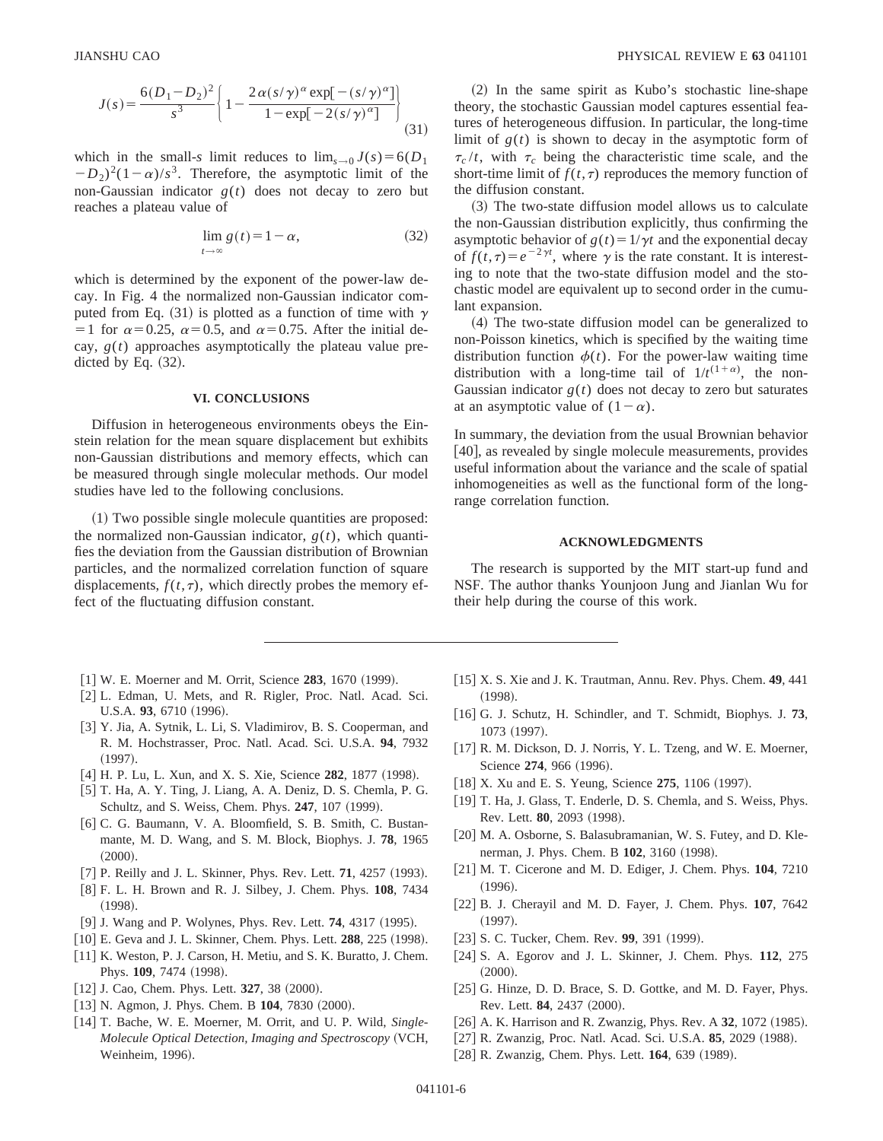$$
J(s) = \frac{6(D_1 - D_2)^2}{s^3} \left\{ 1 - \frac{2\alpha (s/\gamma)^\alpha \exp[-(s/\gamma)^\alpha]}{1 - \exp[-2(s/\gamma)^\alpha]} \right\}
$$
(31)

which in the small-*s* limit reduces to  $\lim_{s\to 0} J(s) = 6(D_1)$  $(D_2)^2(1-\alpha)/s^3$ . Therefore, the asymptotic limit of the non-Gaussian indicator  $g(t)$  does not decay to zero but reaches a plateau value of

$$
\lim_{t \to \infty} g(t) = 1 - \alpha,\tag{32}
$$

which is determined by the exponent of the power-law decay. In Fig. 4 the normalized non-Gaussian indicator computed from Eq. (31) is plotted as a function of time with  $\gamma$ =1 for  $\alpha$ =0.25,  $\alpha$ =0.5, and  $\alpha$ =0.75. After the initial decay,  $g(t)$  approaches asymptotically the plateau value predicted by Eq.  $(32)$ .

#### **VI. CONCLUSIONS**

Diffusion in heterogeneous environments obeys the Einstein relation for the mean square displacement but exhibits non-Gaussian distributions and memory effects, which can be measured through single molecular methods. Our model studies have led to the following conclusions.

~1! Two possible single molecule quantities are proposed: the normalized non-Gaussian indicator,  $g(t)$ , which quantifies the deviation from the Gaussian distribution of Brownian particles, and the normalized correlation function of square displacements,  $f(t, \tau)$ , which directly probes the memory effect of the fluctuating diffusion constant.

- 
- [1] W. E. Moerner and M. Orrit, Science 283, 1670 (1999). [2] L. Edman, U. Mets, and R. Rigler, Proc. Natl. Acad. Sci. U.S.A. 93, 6710 (1996).
- [3] Y. Jia, A. Sytnik, L. Li, S. Vladimirov, B. S. Cooperman, and R. M. Hochstrasser, Proc. Natl. Acad. Sci. U.S.A. **94**, 7932  $(1997).$
- [4] H. P. Lu, L. Xun, and X. S. Xie, Science 282, 1877 (1998).
- [5] T. Ha, A. Y. Ting, J. Liang, A. A. Deniz, D. S. Chemla, P. G. Schultz, and S. Weiss, Chem. Phys. 247, 107 (1999).
- [6] C. G. Baumann, V. A. Bloomfield, S. B. Smith, C. Bustanmante, M. D. Wang, and S. M. Block, Biophys. J. **78**, 1965  $(2000).$
- $[7]$  P. Reilly and J. L. Skinner, Phys. Rev. Lett. **71**, 4257 (1993).
- @8# F. L. H. Brown and R. J. Silbey, J. Chem. Phys. **108**, 7434  $(1998).$
- [9] J. Wang and P. Wolynes, Phys. Rev. Lett. **74**, 4317 (1995).
- [10] E. Geva and J. L. Skinner, Chem. Phys. Lett. **288**, 225 (1998).
- [11] K. Weston, P. J. Carson, H. Metiu, and S. K. Buratto, J. Chem. Phys. 109, 7474 (1998).
- $[12]$  J. Cao, Chem. Phys. Lett.  $327$ , 38  $(2000)$ .
- [13] N. Agmon, J. Phys. Chem. B 104, 7830 (2000).
- [14] T. Bache, W. E. Moerner, M. Orrit, and U. P. Wild, *Single-Molecule Optical Detection, Imaging and Spectroscopy* (VCH, Weinheim, 1996).

 $(2)$  In the same spirit as Kubo's stochastic line-shape theory, the stochastic Gaussian model captures essential features of heterogeneous diffusion. In particular, the long-time limit of  $g(t)$  is shown to decay in the asymptotic form of  $\tau_c/t$ , with  $\tau_c$  being the characteristic time scale, and the short-time limit of  $f(t, \tau)$  reproduces the memory function of the diffusion constant.

~3! The two-state diffusion model allows us to calculate the non-Gaussian distribution explicitly, thus confirming the asymptotic behavior of  $g(t) = 1/\gamma t$  and the exponential decay of  $f(t, \tau) = e^{-2\gamma t}$ , where  $\gamma$  is the rate constant. It is interesting to note that the two-state diffusion model and the stochastic model are equivalent up to second order in the cumulant expansion.

~4! The two-state diffusion model can be generalized to non-Poisson kinetics, which is specified by the waiting time distribution function  $\phi(t)$ . For the power-law waiting time distribution with a long-time tail of  $1/t^{(1+\alpha)}$ , the non-Gaussian indicator  $g(t)$  does not decay to zero but saturates at an asymptotic value of  $(1-\alpha)$ .

In summary, the deviation from the usual Brownian behavior [40], as revealed by single molecule measurements, provides useful information about the variance and the scale of spatial inhomogeneities as well as the functional form of the longrange correlation function.

#### **ACKNOWLEDGMENTS**

The research is supported by the MIT start-up fund and NSF. The author thanks Younjoon Jung and Jianlan Wu for their help during the course of this work.

- [15] X. S. Xie and J. K. Trautman, Annu. Rev. Phys. Chem. **49**, 441  $(1998).$
- [16] G. J. Schutz, H. Schindler, and T. Schmidt, Biophys. J. 73, 1073 (1997).
- [17] R. M. Dickson, D. J. Norris, Y. L. Tzeng, and W. E. Moerner, Science 274, 966 (1996).
- [18] X. Xu and E. S. Yeung, Science 275, 1106 (1997).
- [19] T. Ha, J. Glass, T. Enderle, D. S. Chemla, and S. Weiss, Phys. Rev. Lett. **80**, 2093 (1998).
- [20] M. A. Osborne, S. Balasubramanian, W. S. Futey, and D. Klenerman, J. Phys. Chem. B 102, 3160 (1998).
- [21] M. T. Cicerone and M. D. Ediger, J. Chem. Phys. **104**, 7210  $(1996).$
- [22] B. J. Cherayil and M. D. Fayer, J. Chem. Phys. **107**, 7642  $(1997).$
- [23] S. C. Tucker, Chem. Rev. **99**, 391 (1999).
- [24] S. A. Egorov and J. L. Skinner, J. Chem. Phys. **112**, 275  $(2000).$
- [25] G. Hinze, D. D. Brace, S. D. Gottke, and M. D. Fayer, Phys. Rev. Lett. **84**, 2437 (2000).
- [26] A. K. Harrison and R. Zwanzig, Phys. Rev. A 32, 1072 (1985).
- [27] R. Zwanzig, Proc. Natl. Acad. Sci. U.S.A. 85, 2029 (1988).
- [28] R. Zwanzig, Chem. Phys. Lett. **164**, 639 (1989).